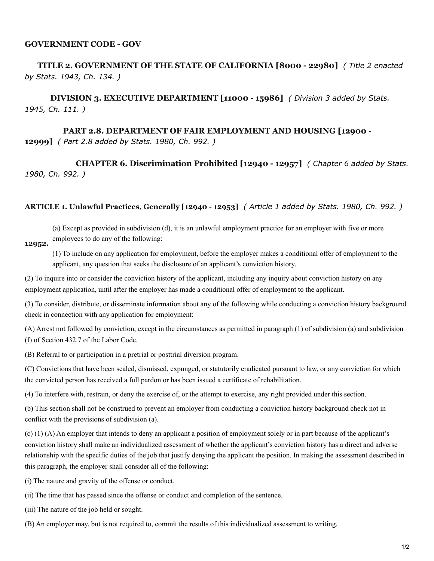## **GOVERNMENT CODE - GOV**

## **TITLE 2. GOVERNMENT OF THE STATE OF CALIFORNIA [8000 - 22980]** *( Title 2 enacted by Stats. 1943, Ch. 134. )*

**DIVISION 3. EXECUTIVE DEPARTMENT [11000 - 15986]** *( Division 3 added by Stats. 1945, Ch. 111. )*

## **PART 2.8. DEPARTMENT OF FAIR EMPLOYMENT AND HOUSING [12900 - 12999]** *( Part 2.8 added by Stats. 1980, Ch. 992. )*

**CHAPTER 6. Discrimination Prohibited [12940 - 12957]** *( Chapter 6 added by Stats. 1980, Ch. 992. )*

## **ARTICLE 1. Unlawful Practices, Generally [12940 - 12953]** *( Article 1 added by Stats. 1980, Ch. 992. )*

(a) Except as provided in subdivision (d), it is an unlawful employment practice for an employer with five or more employees to do any of the following: **12952.**

(1) To include on any application for employment, before the employer makes a conditional offer of employment to the applicant, any question that seeks the disclosure of an applicant's conviction history.

(2) To inquire into or consider the conviction history of the applicant, including any inquiry about conviction history on any employment application, until after the employer has made a conditional offer of employment to the applicant.

(3) To consider, distribute, or disseminate information about any of the following while conducting a conviction history background check in connection with any application for employment:

(A) Arrest not followed by conviction, except in the circumstances as permitted in paragraph (1) of subdivision (a) and subdivision (f) of Section 432.7 of the Labor Code.

(B) Referral to or participation in a pretrial or posttrial diversion program.

(C) Convictions that have been sealed, dismissed, expunged, or statutorily eradicated pursuant to law, or any conviction for which the convicted person has received a full pardon or has been issued a certificate of rehabilitation.

(4) To interfere with, restrain, or deny the exercise of, or the attempt to exercise, any right provided under this section.

(b) This section shall not be construed to prevent an employer from conducting a conviction history background check not in conflict with the provisions of subdivision (a).

(c) (1) (A) An employer that intends to deny an applicant a position of employment solely or in part because of the applicant's conviction history shall make an individualized assessment of whether the applicant's conviction history has a direct and adverse relationship with the specific duties of the job that justify denying the applicant the position. In making the assessment described in this paragraph, the employer shall consider all of the following:

(i) The nature and gravity of the offense or conduct.

- (ii) The time that has passed since the offense or conduct and completion of the sentence.
- (iii) The nature of the job held or sought.
- (B) An employer may, but is not required to, commit the results of this individualized assessment to writing.